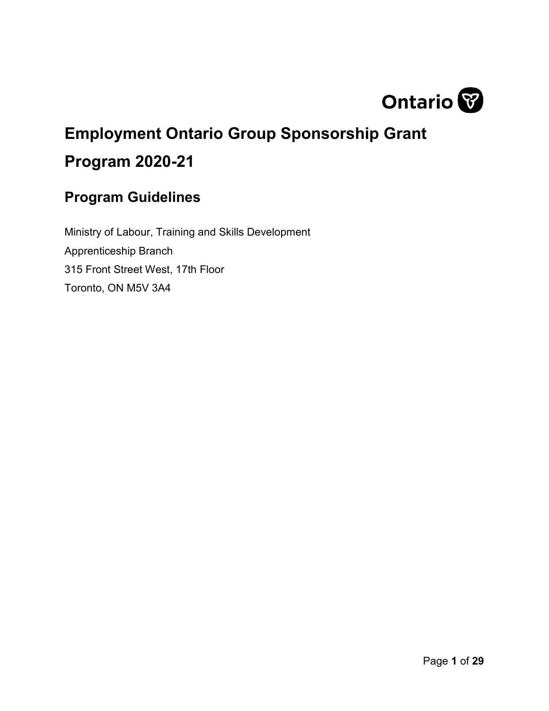

# <span id="page-0-0"></span>**Employment Ontario Group Sponsorship Grant Program 2020-21**

# <span id="page-0-1"></span>**Program Guidelines**

Ministry of Labour, Training and Skills Development Apprenticeship Branch 315 Front Street West, 17th Floor Toronto, ON M5V 3A4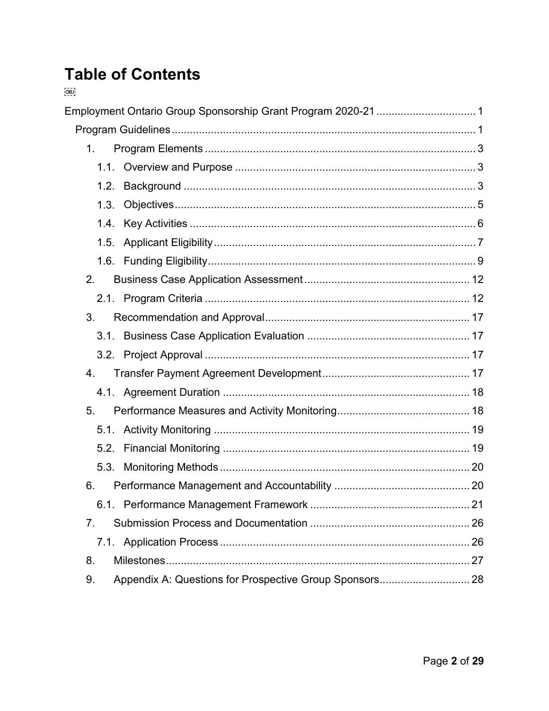# **Table of Contents**  $OBD$

| 1 <sub>1</sub> |                                                         |  |
|----------------|---------------------------------------------------------|--|
|                |                                                         |  |
| 1.2.           |                                                         |  |
| 1.3.           |                                                         |  |
| 1.4.           |                                                         |  |
| 1.5.           |                                                         |  |
|                |                                                         |  |
| 2 <sub>1</sub> |                                                         |  |
|                |                                                         |  |
| 3.             |                                                         |  |
|                |                                                         |  |
|                |                                                         |  |
| 4.             |                                                         |  |
|                |                                                         |  |
| 5 <sub>1</sub> |                                                         |  |
|                |                                                         |  |
| 5.2.           |                                                         |  |
| 5.3.           |                                                         |  |
| 6.             |                                                         |  |
|                |                                                         |  |
| 7.             |                                                         |  |
|                |                                                         |  |
| 8.             |                                                         |  |
| 9.             | Appendix A: Questions for Prospective Group Sponsors 28 |  |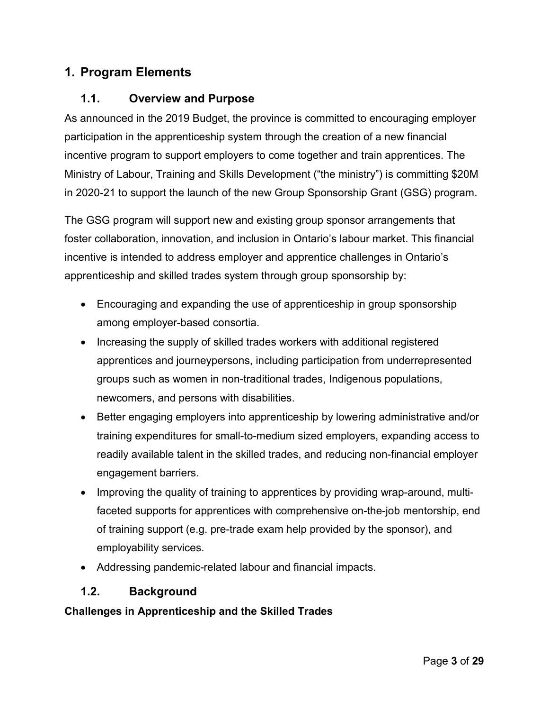## <span id="page-2-0"></span>**1. Program Elements**

#### <span id="page-2-1"></span>**1.1. Overview and Purpose**

As announced in the 2019 Budget, the province is committed to encouraging employer participation in the apprenticeship system through the creation of a new financial incentive program to support employers to come together and train apprentices. The Ministry of Labour, Training and Skills Development ("the ministry") is committing \$20M in 2020-21 to support the launch of the new Group Sponsorship Grant (GSG) program.

The GSG program will support new and existing group sponsor arrangements that foster collaboration, innovation, and inclusion in Ontario's labour market. This financial incentive is intended to address employer and apprentice challenges in Ontario's apprenticeship and skilled trades system through group sponsorship by:

- Encouraging and expanding the use of apprenticeship in group sponsorship among employer-based consortia.
- Increasing the supply of skilled trades workers with additional registered apprentices and journeypersons, including participation from underrepresented groups such as women in non-traditional trades, Indigenous populations, newcomers, and persons with disabilities.
- Better engaging employers into apprenticeship by lowering administrative and/or training expenditures for small-to-medium sized employers, expanding access to readily available talent in the skilled trades, and reducing non-financial employer engagement barriers.
- Improving the quality of training to apprentices by providing wrap-around, multifaceted supports for apprentices with comprehensive on-the-job mentorship, end of training support (e.g. pre-trade exam help provided by the sponsor), and employability services.
- Addressing pandemic-related labour and financial impacts.

#### <span id="page-2-2"></span>**1.2. Background**

#### **Challenges in Apprenticeship and the Skilled Trades**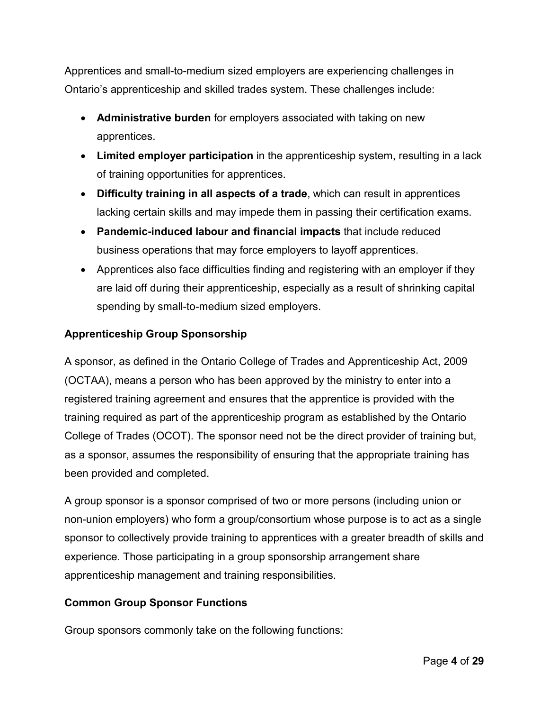Apprentices and small-to-medium sized employers are experiencing challenges in Ontario's apprenticeship and skilled trades system. These challenges include:

- **Administrative burden** for employers associated with taking on new apprentices.
- **Limited employer participation** in the apprenticeship system, resulting in a lack of training opportunities for apprentices.
- **Difficulty training in all aspects of a trade**, which can result in apprentices lacking certain skills and may impede them in passing their certification exams.
- **Pandemic-induced labour and financial impacts** that include reduced business operations that may force employers to layoff apprentices.
- Apprentices also face difficulties finding and registering with an employer if they are laid off during their apprenticeship, especially as a result of shrinking capital spending by small-to-medium sized employers.

#### **Apprenticeship Group Sponsorship**

A sponsor, as defined in the Ontario College of Trades and Apprenticeship Act, 2009 (OCTAA), means a person who has been approved by the ministry to enter into a registered training agreement and ensures that the apprentice is provided with the training required as part of the apprenticeship program as established by the Ontario College of Trades (OCOT). The sponsor need not be the direct provider of training but, as a sponsor, assumes the responsibility of ensuring that the appropriate training has been provided and completed.

A group sponsor is a sponsor comprised of two or more persons (including union or non-union employers) who form a group/consortium whose purpose is to act as a single sponsor to collectively provide training to apprentices with a greater breadth of skills and experience. Those participating in a group sponsorship arrangement share apprenticeship management and training responsibilities.

#### **Common Group Sponsor Functions**

Group sponsors commonly take on the following functions: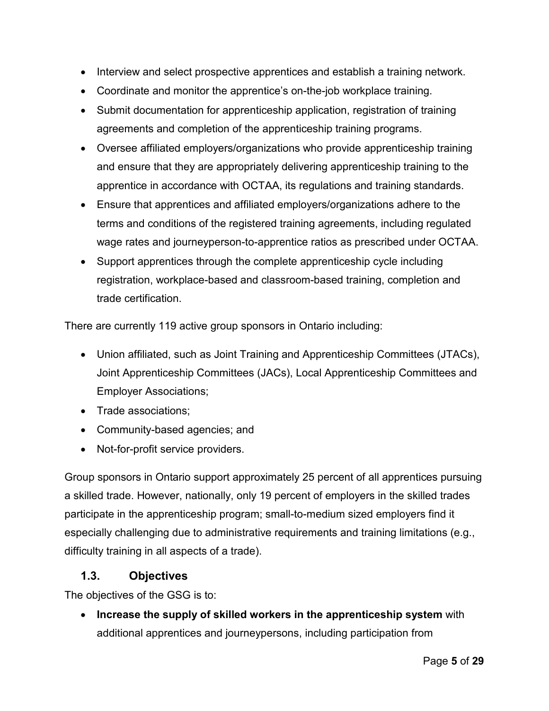- Interview and select prospective apprentices and establish a training network.
- Coordinate and monitor the apprentice's on-the-job workplace training.
- Submit documentation for apprenticeship application, registration of training agreements and completion of the apprenticeship training programs.
- Oversee affiliated employers/organizations who provide apprenticeship training and ensure that they are appropriately delivering apprenticeship training to the apprentice in accordance with OCTAA, its regulations and training standards.
- Ensure that apprentices and affiliated employers/organizations adhere to the terms and conditions of the registered training agreements, including regulated wage rates and journeyperson-to-apprentice ratios as prescribed under OCTAA.
- Support apprentices through the complete apprenticeship cycle including registration, workplace-based and classroom-based training, completion and trade certification.

There are currently 119 active group sponsors in Ontario including:

- Union affiliated, such as Joint Training and Apprenticeship Committees (JTACs), Joint Apprenticeship Committees (JACs), Local Apprenticeship Committees and Employer Associations;
- Trade associations;
- Community-based agencies; and
- Not-for-profit service providers.

Group sponsors in Ontario support approximately 25 percent of all apprentices pursuing a skilled trade. However, nationally, only 19 percent of employers in the skilled trades participate in the apprenticeship program; small-to-medium sized employers find it especially challenging due to administrative requirements and training limitations (e.g., difficulty training in all aspects of a trade).

#### <span id="page-4-0"></span>**1.3. Objectives**

The objectives of the GSG is to:

• **Increase the supply of skilled workers in the apprenticeship system** with additional apprentices and journeypersons, including participation from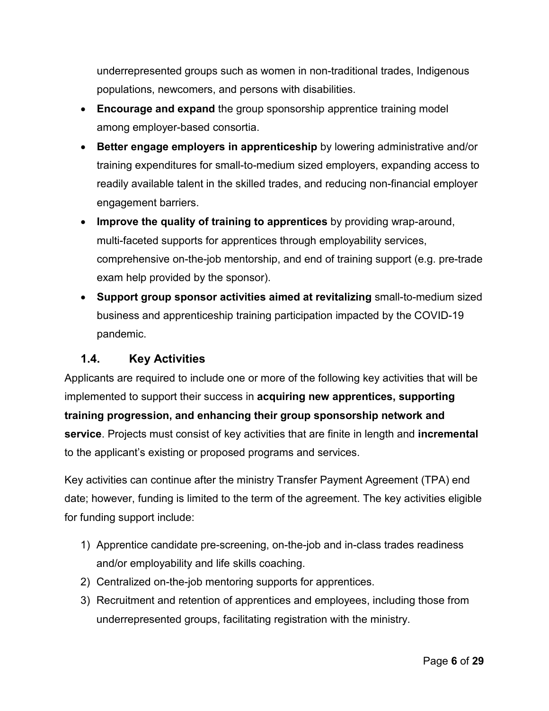underrepresented groups such as women in non-traditional trades, Indigenous populations, newcomers, and persons with disabilities.

- **Encourage and expand** the group sponsorship apprentice training model among employer-based consortia.
- **Better engage employers in apprenticeship** by lowering administrative and/or training expenditures for small-to-medium sized employers, expanding access to readily available talent in the skilled trades, and reducing non-financial employer engagement barriers.
- **Improve the quality of training to apprentices** by providing wrap-around, multi-faceted supports for apprentices through employability services, comprehensive on-the-job mentorship, and end of training support (e.g. pre-trade exam help provided by the sponsor).
- **Support group sponsor activities aimed at revitalizing** small-to-medium sized business and apprenticeship training participation impacted by the COVID-19 pandemic.

## <span id="page-5-0"></span>**1.4. Key Activities**

Applicants are required to include one or more of the following key activities that will be implemented to support their success in **acquiring new apprentices, supporting training progression, and enhancing their group sponsorship network and service**. Projects must consist of key activities that are finite in length and **incremental**  to the applicant's existing or proposed programs and services.

Key activities can continue after the ministry Transfer Payment Agreement (TPA) end date; however, funding is limited to the term of the agreement. The key activities eligible for funding support include:

- 1) Apprentice candidate pre-screening, on-the-job and in-class trades readiness and/or employability and life skills coaching.
- 2) Centralized on-the-job mentoring supports for apprentices.
- 3) Recruitment and retention of apprentices and employees, including those from underrepresented groups, facilitating registration with the ministry.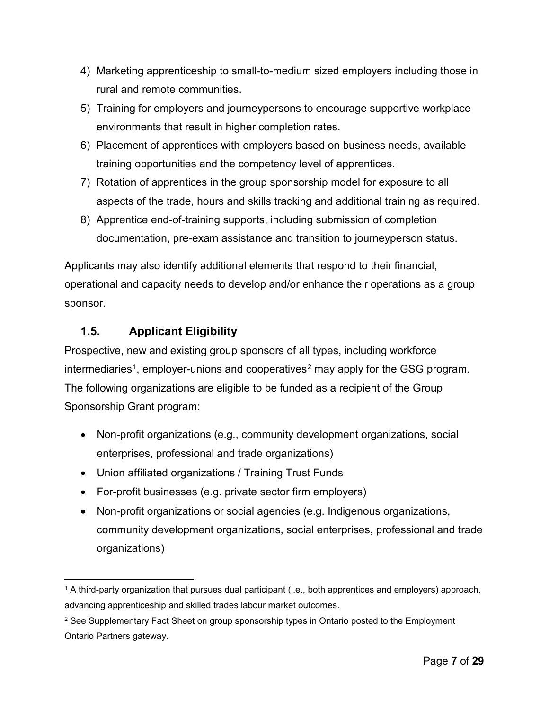- 4) Marketing apprenticeship to small-to-medium sized employers including those in rural and remote communities.
- 5) Training for employers and journeypersons to encourage supportive workplace environments that result in higher completion rates.
- 6) Placement of apprentices with employers based on business needs, available training opportunities and the competency level of apprentices.
- 7) Rotation of apprentices in the group sponsorship model for exposure to all aspects of the trade, hours and skills tracking and additional training as required.
- 8) Apprentice end-of-training supports, including submission of completion documentation, pre-exam assistance and transition to journeyperson status.

Applicants may also identify additional elements that respond to their financial, operational and capacity needs to develop and/or enhance their operations as a group sponsor.

## <span id="page-6-0"></span>**1.5. Applicant Eligibility**

Prospective, new and existing group sponsors of all types, including workforce intermediaries<sup>[1](#page-6-1)</sup>, employer-unions and cooperatives<sup>[2](#page-6-2)</sup> may apply for the GSG program. The following organizations are eligible to be funded as a recipient of the Group Sponsorship Grant program:

- Non-profit organizations (e.g., community development organizations, social enterprises, professional and trade organizations)
- Union affiliated organizations / Training Trust Funds
- For-profit businesses (e.g. private sector firm employers)
- Non-profit organizations or social agencies (e.g. Indigenous organizations, community development organizations, social enterprises, professional and trade organizations)

<span id="page-6-1"></span> $\overline{a}$ <sup>1</sup> A third-party organization that pursues dual participant (i.e., both apprentices and employers) approach, advancing apprenticeship and skilled trades labour market outcomes.

<span id="page-6-2"></span><sup>&</sup>lt;sup>2</sup> See Supplementary Fact Sheet on group sponsorship types in Ontario posted to the Employment Ontario Partners gateway.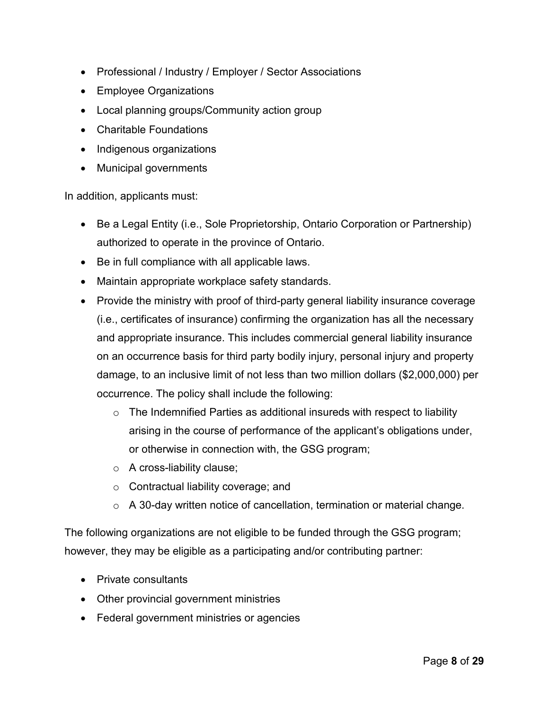- Professional / Industry / Employer / Sector Associations
- Employee Organizations
- Local planning groups/Community action group
- Charitable Foundations
- Indigenous organizations
- Municipal governments

In addition, applicants must:

- Be a Legal Entity (i.e., Sole Proprietorship, Ontario Corporation or Partnership) authorized to operate in the province of Ontario.
- Be in full compliance with all applicable laws.
- Maintain appropriate workplace safety standards.
- Provide the ministry with proof of third-party general liability insurance coverage (i.e., certificates of insurance) confirming the organization has all the necessary and appropriate insurance. This includes commercial general liability insurance on an occurrence basis for third party bodily injury, personal injury and property damage, to an inclusive limit of not less than two million dollars (\$2,000,000) per occurrence. The policy shall include the following:
	- $\circ$  The Indemnified Parties as additional insureds with respect to liability arising in the course of performance of the applicant's obligations under, or otherwise in connection with, the GSG program;
	- o A cross-liability clause;
	- o Contractual liability coverage; and
	- o A 30-day written notice of cancellation, termination or material change.

The following organizations are not eligible to be funded through the GSG program; however, they may be eligible as a participating and/or contributing partner:

- Private consultants
- Other provincial government ministries
- Federal government ministries or agencies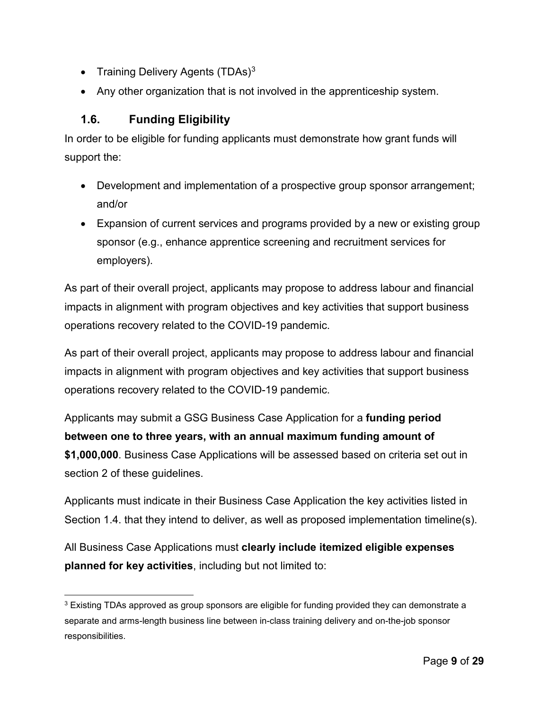- Training Delivery Agents (TDAs) $3$
- Any other organization that is not involved in the apprenticeship system.

## <span id="page-8-0"></span>**1.6. Funding Eligibility**

 $\overline{a}$ 

In order to be eligible for funding applicants must demonstrate how grant funds will support the:

- Development and implementation of a prospective group sponsor arrangement; and/or
- Expansion of current services and programs provided by a new or existing group sponsor (e.g., enhance apprentice screening and recruitment services for employers).

As part of their overall project, applicants may propose to address labour and financial impacts in alignment with program objectives and key activities that support business operations recovery related to the COVID-19 pandemic.

As part of their overall project, applicants may propose to address labour and financial impacts in alignment with program objectives and key activities that support business operations recovery related to the COVID-19 pandemic.

Applicants may submit a GSG Business Case Application for a **funding period between one to three years, with an annual maximum funding amount of \$1,000,000**. Business Case Applications will be assessed based on criteria set out in section 2 of these guidelines.

Applicants must indicate in their Business Case Application the key activities listed in Section 1.4. that they intend to deliver, as well as proposed implementation timeline(s).

All Business Case Applications must **clearly include itemized eligible expenses planned for key activities**, including but not limited to:

<span id="page-8-1"></span><sup>&</sup>lt;sup>3</sup> Existing TDAs approved as group sponsors are eligible for funding provided they can demonstrate a separate and arms-length business line between in-class training delivery and on-the-job sponsor responsibilities.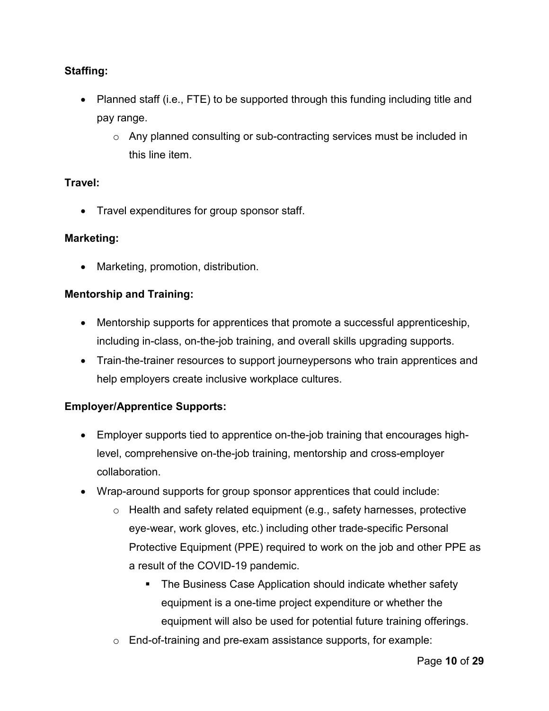#### **Staffing:**

- Planned staff (i.e., FTE) to be supported through this funding including title and pay range.
	- $\circ$  Any planned consulting or sub-contracting services must be included in this line item.

#### **Travel:**

• Travel expenditures for group sponsor staff.

#### **Marketing:**

• Marketing, promotion, distribution.

#### **Mentorship and Training:**

- Mentorship supports for apprentices that promote a successful apprenticeship, including in-class, on-the-job training, and overall skills upgrading supports.
- Train-the-trainer resources to support journeypersons who train apprentices and help employers create inclusive workplace cultures.

#### **Employer/Apprentice Supports:**

- Employer supports tied to apprentice on-the-job training that encourages highlevel, comprehensive on-the-job training, mentorship and cross-employer collaboration.
- Wrap-around supports for group sponsor apprentices that could include:
	- $\circ$  Health and safety related equipment (e.g., safety harnesses, protective eye-wear, work gloves, etc.) including other trade-specific Personal Protective Equipment (PPE) required to work on the job and other PPE as a result of the COVID-19 pandemic.
		- The Business Case Application should indicate whether safety equipment is a one-time project expenditure or whether the equipment will also be used for potential future training offerings.
	- o End-of-training and pre-exam assistance supports, for example: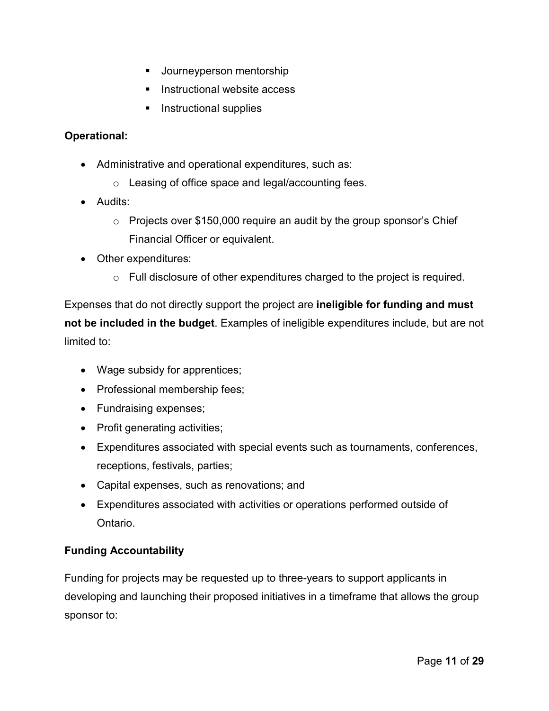- **Journeyperson mentorship**
- **Instructional website access**
- Instructional supplies

#### **Operational:**

- Administrative and operational expenditures, such as:
	- o Leasing of office space and legal/accounting fees.
- Audits:
	- $\circ$  Projects over \$150,000 require an audit by the group sponsor's Chief Financial Officer or equivalent.
- Other expenditures:
	- o Full disclosure of other expenditures charged to the project is required.

Expenses that do not directly support the project are **ineligible for funding and must not be included in the budget**. Examples of ineligible expenditures include, but are not limited to:

- Wage subsidy for apprentices;
- Professional membership fees;
- Fundraising expenses;
- Profit generating activities;
- Expenditures associated with special events such as tournaments, conferences, receptions, festivals, parties;
- Capital expenses, such as renovations; and
- Expenditures associated with activities or operations performed outside of Ontario.

#### **Funding Accountability**

Funding for projects may be requested up to three-years to support applicants in developing and launching their proposed initiatives in a timeframe that allows the group sponsor to: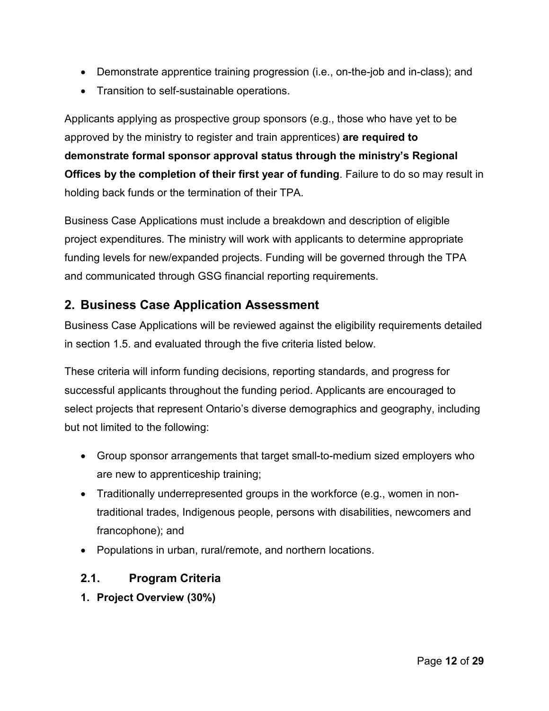- Demonstrate apprentice training progression (i.e., on-the-job and in-class); and
- Transition to self-sustainable operations.

Applicants applying as prospective group sponsors (e.g., those who have yet to be approved by the ministry to register and train apprentices) **are required to demonstrate formal sponsor approval status through the ministry's Regional Offices by the completion of their first year of funding**. Failure to do so may result in holding back funds or the termination of their TPA.

Business Case Applications must include a breakdown and description of eligible project expenditures. The ministry will work with applicants to determine appropriate funding levels for new/expanded projects. Funding will be governed through the TPA and communicated through GSG financial reporting requirements.

# <span id="page-11-0"></span>**2. Business Case Application Assessment**

Business Case Applications will be reviewed against the eligibility requirements detailed in section 1.5. and evaluated through the five criteria listed below.

These criteria will inform funding decisions, reporting standards, and progress for successful applicants throughout the funding period. Applicants are encouraged to select projects that represent Ontario's diverse demographics and geography, including but not limited to the following:

- Group sponsor arrangements that target small-to-medium sized employers who are new to apprenticeship training;
- Traditionally underrepresented groups in the workforce (e.g., women in nontraditional trades, Indigenous people, persons with disabilities, newcomers and francophone); and
- Populations in urban, rural/remote, and northern locations.

## <span id="page-11-1"></span>**2.1. Program Criteria**

**1. Project Overview (30%)**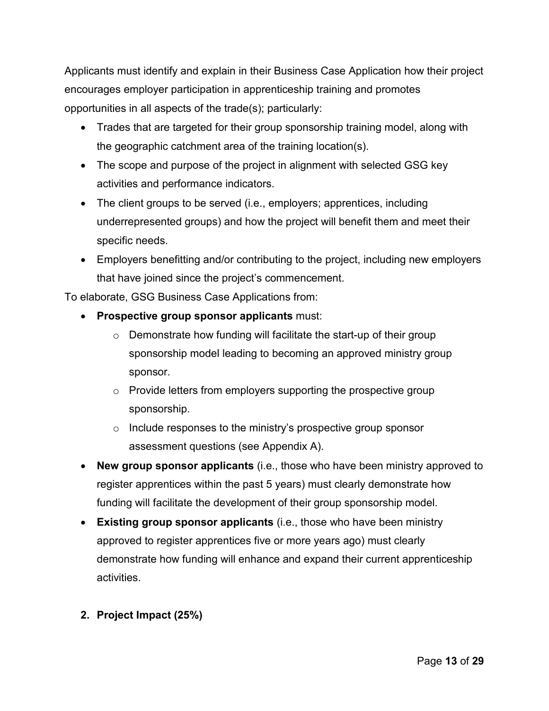Applicants must identify and explain in their Business Case Application how their project encourages employer participation in apprenticeship training and promotes opportunities in all aspects of the trade(s); particularly:

- Trades that are targeted for their group sponsorship training model, along with the geographic catchment area of the training location(s).
- The scope and purpose of the project in alignment with selected GSG key activities and performance indicators.
- The client groups to be served (i.e., employers; apprentices, including underrepresented groups) and how the project will benefit them and meet their specific needs.
- Employers benefitting and/or contributing to the project, including new employers that have joined since the project's commencement.

To elaborate, GSG Business Case Applications from:

- **Prospective group sponsor applicants** must:
	- o Demonstrate how funding will facilitate the start-up of their group sponsorship model leading to becoming an approved ministry group sponsor.
	- $\circ$  Provide letters from employers supporting the prospective group sponsorship.
	- o Include responses to the ministry's prospective group sponsor assessment questions (see Appendix A).
- **New group sponsor applicants** (i.e., those who have been ministry approved to register apprentices within the past 5 years) must clearly demonstrate how funding will facilitate the development of their group sponsorship model.
- **Existing group sponsor applicants** (i.e., those who have been ministry approved to register apprentices five or more years ago) must clearly demonstrate how funding will enhance and expand their current apprenticeship activities.
- **2. Project Impact (25%)**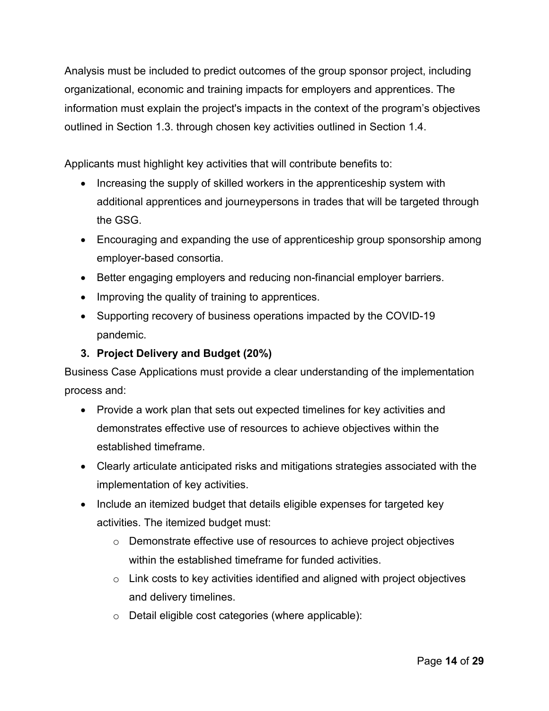Analysis must be included to predict outcomes of the group sponsor project, including organizational, economic and training impacts for employers and apprentices. The information must explain the project's impacts in the context of the program's objectives outlined in Section 1.3. through chosen key activities outlined in Section 1.4.

Applicants must highlight key activities that will contribute benefits to:

- Increasing the supply of skilled workers in the apprenticeship system with additional apprentices and journeypersons in trades that will be targeted through the GSG.
- Encouraging and expanding the use of apprenticeship group sponsorship among employer-based consortia.
- Better engaging employers and reducing non-financial employer barriers.
- Improving the quality of training to apprentices.
- Supporting recovery of business operations impacted by the COVID-19 pandemic.

## **3. Project Delivery and Budget (20%)**

Business Case Applications must provide a clear understanding of the implementation process and:

- Provide a work plan that sets out expected timelines for key activities and demonstrates effective use of resources to achieve objectives within the established timeframe.
- Clearly articulate anticipated risks and mitigations strategies associated with the implementation of key activities.
- Include an itemized budget that details eligible expenses for targeted key activities. The itemized budget must:
	- $\circ$  Demonstrate effective use of resources to achieve project objectives within the established timeframe for funded activities.
	- $\circ$  Link costs to key activities identified and aligned with project objectives and delivery timelines.
	- o Detail eligible cost categories (where applicable):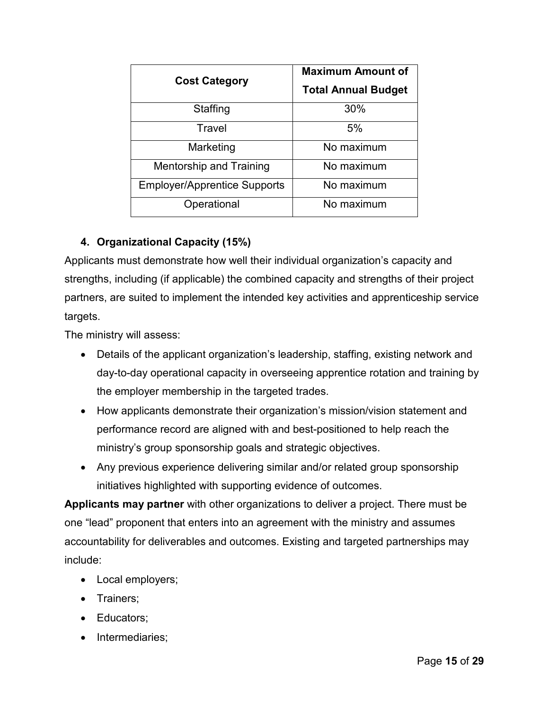| <b>Cost Category</b>                | <b>Maximum Amount of</b>   |  |
|-------------------------------------|----------------------------|--|
|                                     | <b>Total Annual Budget</b> |  |
| Staffing                            | 30%                        |  |
| Travel                              | 5%                         |  |
| Marketing                           | No maximum                 |  |
| <b>Mentorship and Training</b>      | No maximum                 |  |
| <b>Employer/Apprentice Supports</b> | No maximum                 |  |
| Operational                         | No maximum                 |  |

## **4. Organizational Capacity (15%)**

Applicants must demonstrate how well their individual organization's capacity and strengths, including (if applicable) the combined capacity and strengths of their project partners, are suited to implement the intended key activities and apprenticeship service targets.

The ministry will assess:

- Details of the applicant organization's leadership, staffing, existing network and day-to-day operational capacity in overseeing apprentice rotation and training by the employer membership in the targeted trades.
- How applicants demonstrate their organization's mission/vision statement and performance record are aligned with and best-positioned to help reach the ministry's group sponsorship goals and strategic objectives.
- Any previous experience delivering similar and/or related group sponsorship initiatives highlighted with supporting evidence of outcomes.

**Applicants may partner** with other organizations to deliver a project. There must be one "lead" proponent that enters into an agreement with the ministry and assumes accountability for deliverables and outcomes. Existing and targeted partnerships may include:

- Local employers;
- Trainers;
- Educators;
- Intermediaries;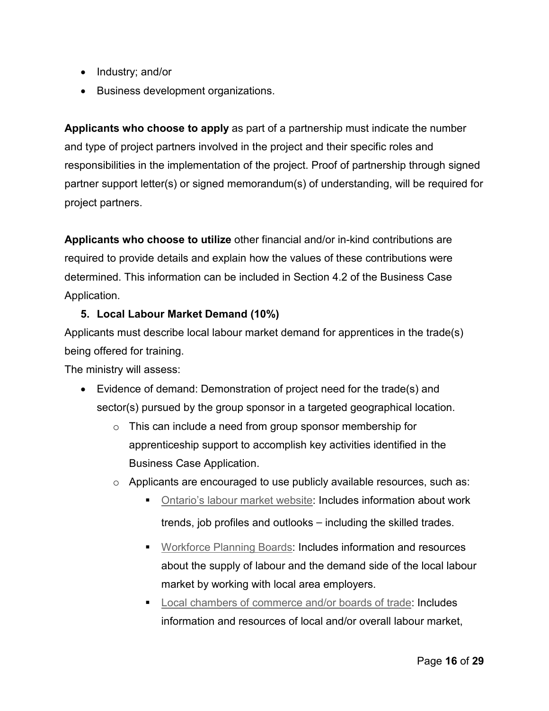- Industry; and/or
- Business development organizations.

**Applicants who choose to apply** as part of a partnership must indicate the number and type of project partners involved in the project and their specific roles and responsibilities in the implementation of the project. Proof of partnership through signed partner support letter(s) or signed memorandum(s) of understanding, will be required for project partners.

**Applicants who choose to utilize** other financial and/or in-kind contributions are required to provide details and explain how the values of these contributions were determined. This information can be included in Section 4.2 of the Business Case Application.

#### **5. Local Labour Market Demand (10%)**

Applicants must describe local labour market demand for apprentices in the trade(s) being offered for training.

The ministry will assess:

- Evidence of demand: Demonstration of project need for the trade(s) and sector(s) pursued by the group sponsor in a targeted geographical location.
	- $\circ$  This can include a need from group sponsor membership for apprenticeship support to accomplish key activities identified in the Business Case Application.
	- o Applicants are encouraged to use publicly available resources, such as:
		- **Dhtario's labour market website: Includes information about work** trends, job profiles and outlooks – including the skilled trades.
		- **[Workforce Planning Boards:](http://www.workforceplanningontario.ca/en/) Includes information and resources** about the supply of labour and the demand side of the local labour market by working with local area employers.
		- [Local chambers of commerce and/or boards of trade:](https://occ.ca/chamber-network-directory/) Includes information and resources of local and/or overall labour market,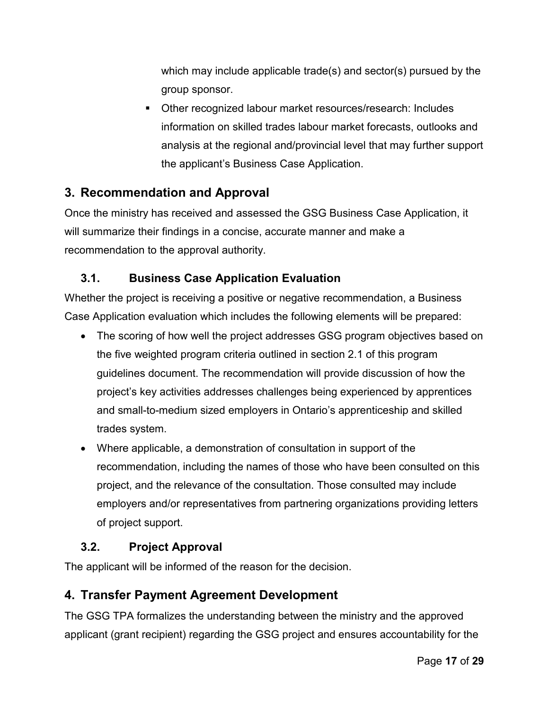which may include applicable trade(s) and sector(s) pursued by the group sponsor.

 Other recognized labour market resources/research: Includes information on skilled trades labour market forecasts, outlooks and analysis at the regional and/provincial level that may further support the applicant's Business Case Application.

# <span id="page-16-0"></span>**3. Recommendation and Approval**

Once the ministry has received and assessed the GSG Business Case Application, it will summarize their findings in a concise, accurate manner and make a recommendation to the approval authority.

## <span id="page-16-1"></span>**3.1. Business Case Application Evaluation**

Whether the project is receiving a positive or negative recommendation, a Business Case Application evaluation which includes the following elements will be prepared:

- The scoring of how well the project addresses GSG program objectives based on the five weighted program criteria outlined in section 2.1 of this program guidelines document. The recommendation will provide discussion of how the project's key activities addresses challenges being experienced by apprentices and small-to-medium sized employers in Ontario's apprenticeship and skilled trades system.
- Where applicable, a demonstration of consultation in support of the recommendation, including the names of those who have been consulted on this project, and the relevance of the consultation. Those consulted may include employers and/or representatives from partnering organizations providing letters of project support.

## <span id="page-16-2"></span>**3.2. Project Approval**

The applicant will be informed of the reason for the decision.

# <span id="page-16-3"></span>**4. Transfer Payment Agreement Development**

The GSG TPA formalizes the understanding between the ministry and the approved applicant (grant recipient) regarding the GSG project and ensures accountability for the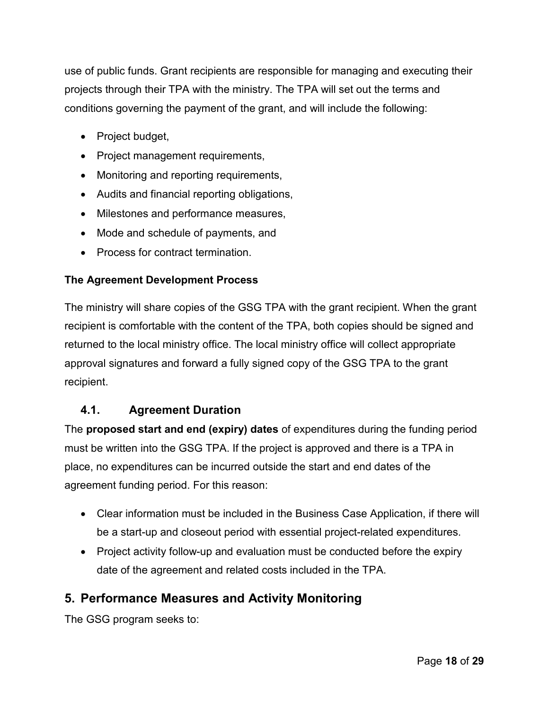use of public funds. Grant recipients are responsible for managing and executing their projects through their TPA with the ministry. The TPA will set out the terms and conditions governing the payment of the grant, and will include the following:

- Project budget,
- Project management requirements,
- Monitoring and reporting requirements,
- Audits and financial reporting obligations,
- Milestones and performance measures,
- Mode and schedule of payments, and
- Process for contract termination.

#### **The Agreement Development Process**

The ministry will share copies of the GSG TPA with the grant recipient. When the grant recipient is comfortable with the content of the TPA, both copies should be signed and returned to the local ministry office. The local ministry office will collect appropriate approval signatures and forward a fully signed copy of the GSG TPA to the grant recipient.

#### <span id="page-17-0"></span>**4.1. Agreement Duration**

The **proposed start and end (expiry) dates** of expenditures during the funding period must be written into the GSG TPA. If the project is approved and there is a TPA in place, no expenditures can be incurred outside the start and end dates of the agreement funding period. For this reason:

- Clear information must be included in the Business Case Application, if there will be a start-up and closeout period with essential project-related expenditures.
- Project activity follow-up and evaluation must be conducted before the expiry date of the agreement and related costs included in the TPA.

## <span id="page-17-1"></span>**5. Performance Measures and Activity Monitoring**

The GSG program seeks to: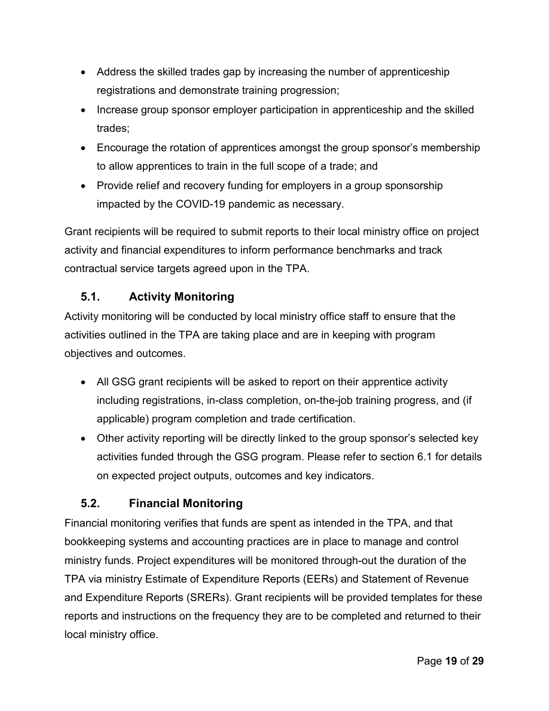- Address the skilled trades gap by increasing the number of apprenticeship registrations and demonstrate training progression;
- Increase group sponsor employer participation in apprenticeship and the skilled trades;
- Encourage the rotation of apprentices amongst the group sponsor's membership to allow apprentices to train in the full scope of a trade; and
- Provide relief and recovery funding for employers in a group sponsorship impacted by the COVID-19 pandemic as necessary.

Grant recipients will be required to submit reports to their local ministry office on project activity and financial expenditures to inform performance benchmarks and track contractual service targets agreed upon in the TPA.

## <span id="page-18-0"></span>**5.1. Activity Monitoring**

Activity monitoring will be conducted by local ministry office staff to ensure that the activities outlined in the TPA are taking place and are in keeping with program objectives and outcomes.

- All GSG grant recipients will be asked to report on their apprentice activity including registrations, in-class completion, on-the-job training progress, and (if applicable) program completion and trade certification.
- Other activity reporting will be directly linked to the group sponsor's selected key activities funded through the GSG program. Please refer to section 6.1 for details on expected project outputs, outcomes and key indicators.

# <span id="page-18-1"></span>**5.2. Financial Monitoring**

Financial monitoring verifies that funds are spent as intended in the TPA, and that bookkeeping systems and accounting practices are in place to manage and control ministry funds. Project expenditures will be monitored through-out the duration of the TPA via ministry Estimate of Expenditure Reports (EERs) and Statement of Revenue and Expenditure Reports (SRERs). Grant recipients will be provided templates for these reports and instructions on the frequency they are to be completed and returned to their local ministry office.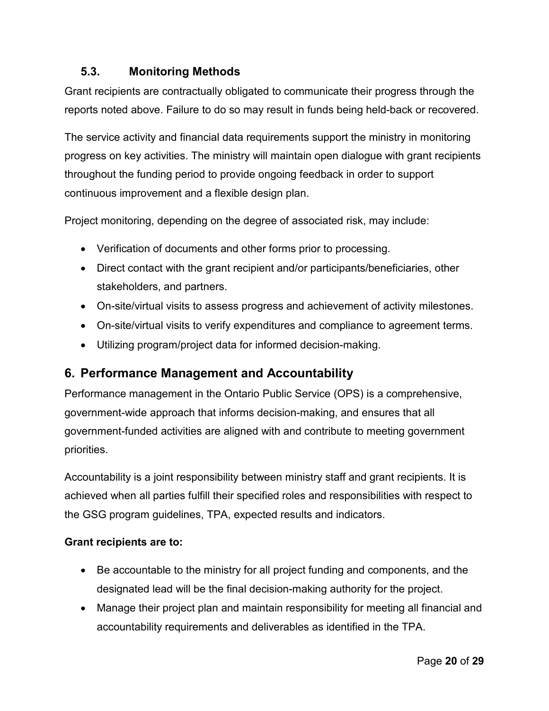## <span id="page-19-0"></span>**5.3. Monitoring Methods**

Grant recipients are contractually obligated to communicate their progress through the reports noted above. Failure to do so may result in funds being held-back or recovered.

The service activity and financial data requirements support the ministry in monitoring progress on key activities. The ministry will maintain open dialogue with grant recipients throughout the funding period to provide ongoing feedback in order to support continuous improvement and a flexible design plan.

Project monitoring, depending on the degree of associated risk, may include:

- Verification of documents and other forms prior to processing.
- Direct contact with the grant recipient and/or participants/beneficiaries, other stakeholders, and partners.
- On-site/virtual visits to assess progress and achievement of activity milestones.
- On-site/virtual visits to verify expenditures and compliance to agreement terms.
- Utilizing program/project data for informed decision-making.

# <span id="page-19-1"></span>**6. Performance Management and Accountability**

Performance management in the Ontario Public Service (OPS) is a comprehensive, government-wide approach that informs decision-making, and ensures that all government-funded activities are aligned with and contribute to meeting government priorities.

Accountability is a joint responsibility between ministry staff and grant recipients. It is achieved when all parties fulfill their specified roles and responsibilities with respect to the GSG program guidelines, TPA, expected results and indicators.

#### **Grant recipients are to:**

- Be accountable to the ministry for all project funding and components, and the designated lead will be the final decision-making authority for the project.
- Manage their project plan and maintain responsibility for meeting all financial and accountability requirements and deliverables as identified in the TPA.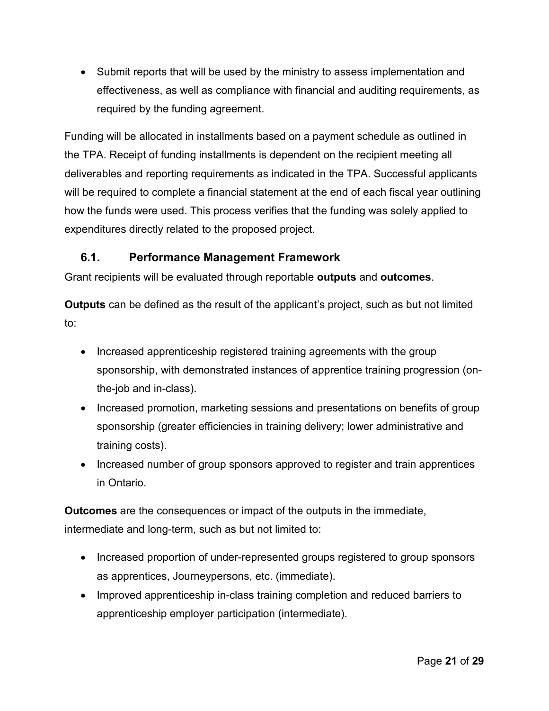• Submit reports that will be used by the ministry to assess implementation and effectiveness, as well as compliance with financial and auditing requirements, as required by the funding agreement.

Funding will be allocated in installments based on a payment schedule as outlined in the TPA. Receipt of funding installments is dependent on the recipient meeting all deliverables and reporting requirements as indicated in the TPA. Successful applicants will be required to complete a financial statement at the end of each fiscal year outlining how the funds were used. This process verifies that the funding was solely applied to expenditures directly related to the proposed project.

## <span id="page-20-0"></span>**6.1. Performance Management Framework**

Grant recipients will be evaluated through reportable **outputs** and **outcomes**.

**Outputs** can be defined as the result of the applicant's project, such as but not limited to:

- Increased apprenticeship registered training agreements with the group sponsorship, with demonstrated instances of apprentice training progression (onthe-job and in-class).
- Increased promotion, marketing sessions and presentations on benefits of group sponsorship (greater efficiencies in training delivery; lower administrative and training costs).
- Increased number of group sponsors approved to register and train apprentices in Ontario.

**Outcomes** are the consequences or impact of the outputs in the immediate, intermediate and long-term, such as but not limited to:

- Increased proportion of under-represented groups registered to group sponsors as apprentices, Journeypersons, etc. (immediate).
- Improved apprenticeship in-class training completion and reduced barriers to apprenticeship employer participation (intermediate).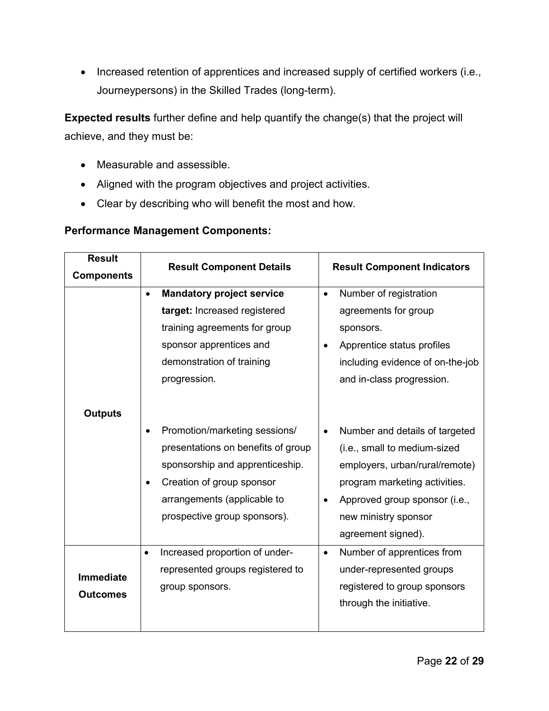• Increased retention of apprentices and increased supply of certified workers (i.e., Journeypersons) in the Skilled Trades (long-term).

**Expected results** further define and help quantify the change(s) that the project will achieve, and they must be:

- Measurable and assessible.
- Aligned with the program objectives and project activities.
- Clear by describing who will benefit the most and how.

#### **Performance Management Components:**

| <b>Result</b>     | <b>Result Component Details</b>             | <b>Result Component Indicators</b>          |  |  |
|-------------------|---------------------------------------------|---------------------------------------------|--|--|
| <b>Components</b> |                                             |                                             |  |  |
|                   | <b>Mandatory project service</b>            | Number of registration<br>$\bullet$         |  |  |
|                   | target: Increased registered                | agreements for group                        |  |  |
|                   | training agreements for group               | sponsors.                                   |  |  |
|                   | sponsor apprentices and                     | Apprentice status profiles<br>$\bullet$     |  |  |
|                   | demonstration of training                   | including evidence of on-the-job            |  |  |
|                   | progression.                                | and in-class progression.                   |  |  |
|                   |                                             |                                             |  |  |
| <b>Outputs</b>    |                                             |                                             |  |  |
|                   | Promotion/marketing sessions/               | Number and details of targeted<br>$\bullet$ |  |  |
|                   | presentations on benefits of group          | (i.e., small to medium-sized                |  |  |
|                   | sponsorship and apprenticeship.             | employers, urban/rural/remote)              |  |  |
|                   | Creation of group sponsor                   | program marketing activities.               |  |  |
|                   | arrangements (applicable to                 | Approved group sponsor (i.e.,               |  |  |
|                   | prospective group sponsors).                | new ministry sponsor                        |  |  |
|                   |                                             | agreement signed).                          |  |  |
|                   | Increased proportion of under-<br>$\bullet$ | Number of apprentices from<br>$\bullet$     |  |  |
|                   | represented groups registered to            | under-represented groups                    |  |  |
| <b>Immediate</b>  | group sponsors.                             | registered to group sponsors                |  |  |
| <b>Outcomes</b>   |                                             | through the initiative.                     |  |  |
|                   |                                             |                                             |  |  |
|                   |                                             |                                             |  |  |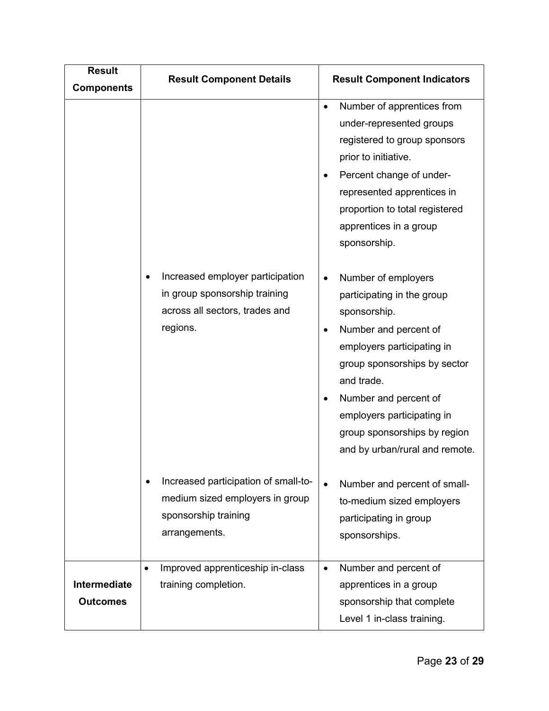| <b>Result</b><br><b>Components</b> | <b>Result Component Details</b>                                                                                  | <b>Result Component Indicators</b>                                                                                                                                                                                                                                                                                 |  |
|------------------------------------|------------------------------------------------------------------------------------------------------------------|--------------------------------------------------------------------------------------------------------------------------------------------------------------------------------------------------------------------------------------------------------------------------------------------------------------------|--|
|                                    | Increased employer participation                                                                                 | Number of apprentices from<br>$\bullet$<br>under-represented groups<br>registered to group sponsors<br>prior to initiative.<br>Percent change of under-<br>$\bullet$<br>represented apprentices in<br>proportion to total registered<br>apprentices in a group<br>sponsorship.<br>Number of employers<br>$\bullet$ |  |
|                                    | in group sponsorship training<br>across all sectors, trades and<br>regions.                                      | participating in the group<br>sponsorship.<br>Number and percent of<br>$\bullet$<br>employers participating in<br>group sponsorships by sector<br>and trade.<br>Number and percent of<br>$\bullet$<br>employers participating in<br>group sponsorships by region<br>and by urban/rural and remote.                 |  |
|                                    | Increased participation of small-to-<br>medium sized employers in group<br>sponsorship training<br>arrangements. | Number and percent of small-<br>$\bullet$<br>to-medium sized employers<br>participating in group<br>sponsorships.                                                                                                                                                                                                  |  |
| Intermediate<br><b>Outcomes</b>    | Improved apprenticeship in-class<br>training completion.                                                         | Number and percent of<br>$\bullet$<br>apprentices in a group<br>sponsorship that complete<br>Level 1 in-class training.                                                                                                                                                                                            |  |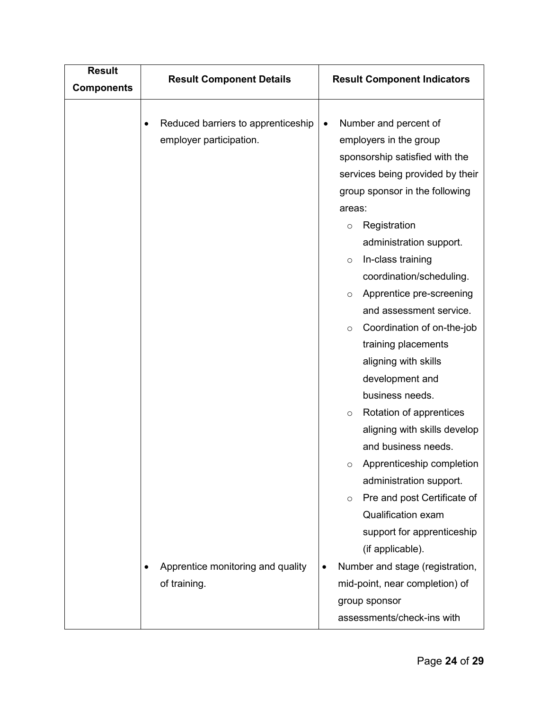| <b>Result</b><br><b>Components</b> | <b>Result Component Details</b>                               | <b>Result Component Indicators</b>                                                                                                                                                                                                                                                                                                                                                                                                                                                                                                                                                                                                                                                                   |  |  |
|------------------------------------|---------------------------------------------------------------|------------------------------------------------------------------------------------------------------------------------------------------------------------------------------------------------------------------------------------------------------------------------------------------------------------------------------------------------------------------------------------------------------------------------------------------------------------------------------------------------------------------------------------------------------------------------------------------------------------------------------------------------------------------------------------------------------|--|--|
|                                    | Reduced barriers to apprenticeship<br>employer participation. | Number and percent of<br>$\bullet$<br>employers in the group<br>sponsorship satisfied with the<br>services being provided by their<br>group sponsor in the following<br>areas:<br>Registration<br>$\circ$<br>administration support.<br>In-class training<br>$\circ$<br>coordination/scheduling.<br>Apprentice pre-screening<br>$\circ$<br>and assessment service.<br>Coordination of on-the-job<br>$\circ$<br>training placements<br>aligning with skills<br>development and<br>business needs.<br>Rotation of apprentices<br>$\circ$<br>aligning with skills develop<br>and business needs.<br>Apprenticeship completion<br>∩<br>administration support.<br>Pre and post Certificate of<br>$\circ$ |  |  |
|                                    | Apprentice monitoring and quality<br>of training.             | Qualification exam<br>support for apprenticeship<br>(if applicable).<br>Number and stage (registration,<br>mid-point, near completion) of<br>group sponsor<br>assessments/check-ins with                                                                                                                                                                                                                                                                                                                                                                                                                                                                                                             |  |  |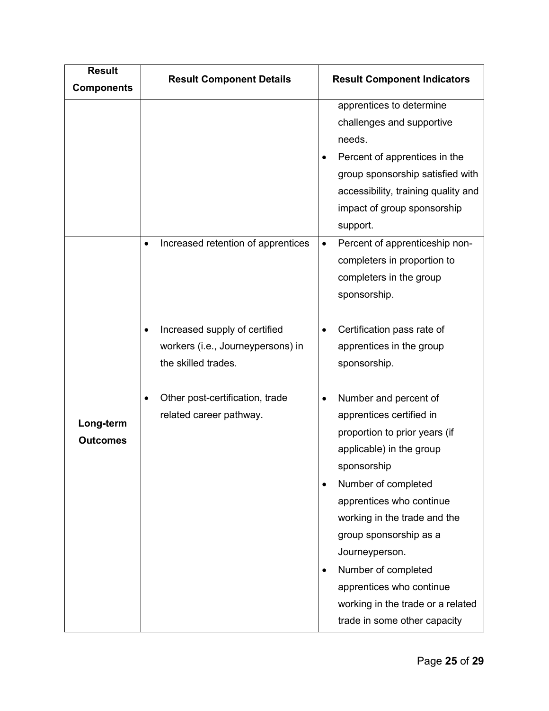| <b>Result</b><br><b>Components</b> | <b>Result Component Details</b>                                                               | <b>Result Component Indicators</b>                                                                                                                                                                                           |  |  |
|------------------------------------|-----------------------------------------------------------------------------------------------|------------------------------------------------------------------------------------------------------------------------------------------------------------------------------------------------------------------------------|--|--|
|                                    |                                                                                               | apprentices to determine<br>challenges and supportive<br>needs.<br>Percent of apprentices in the<br>group sponsorship satisfied with<br>accessibility, training quality and<br>impact of group sponsorship<br>support.       |  |  |
|                                    | Increased retention of apprentices<br>$\bullet$<br>Increased supply of certified<br>$\bullet$ | Percent of apprenticeship non-<br>$\bullet$<br>completers in proportion to<br>completers in the group<br>sponsorship.<br>Certification pass rate of                                                                          |  |  |
|                                    | workers (i.e., Journeypersons) in<br>the skilled trades.                                      | apprentices in the group<br>sponsorship.                                                                                                                                                                                     |  |  |
| Long-term<br><b>Outcomes</b>       | Other post-certification, trade<br>٠<br>related career pathway.                               | Number and percent of<br>apprentices certified in<br>proportion to prior years (if<br>applicable) in the group<br>sponsorship<br>Number of completed                                                                         |  |  |
|                                    |                                                                                               | apprentices who continue<br>working in the trade and the<br>group sponsorship as a<br>Journeyperson.<br>Number of completed<br>apprentices who continue<br>working in the trade or a related<br>trade in some other capacity |  |  |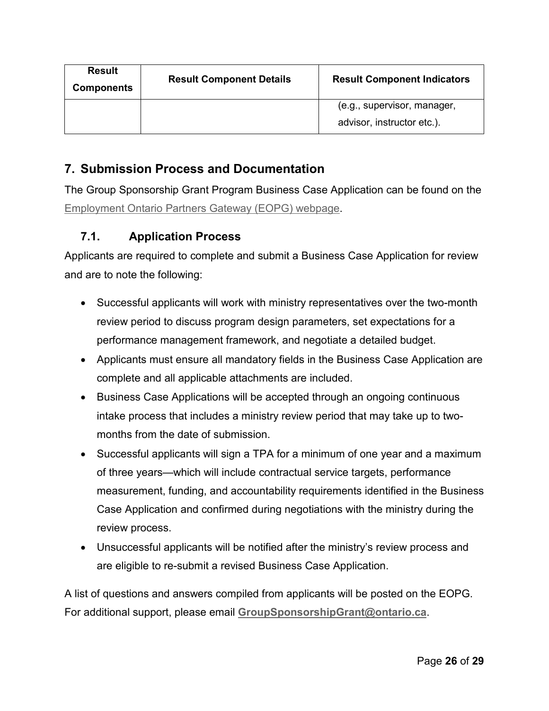| <b>Result</b><br><b>Components</b> | <b>Result Component Details</b> | <b>Result Component Indicators</b>                        |  |
|------------------------------------|---------------------------------|-----------------------------------------------------------|--|
|                                    |                                 | (e.g., supervisor, manager,<br>advisor, instructor etc.). |  |

# <span id="page-25-0"></span>**7. Submission Process and Documentation**

The Group Sponsorship Grant Program Business Case Application can be found on the [Employment Ontario Partners Gateway \(EOPG\) webpage.](http://www.tcu.gov.on.ca/eng/eopg/)

## <span id="page-25-1"></span>**7.1. Application Process**

Applicants are required to complete and submit a Business Case Application for review and are to note the following:

- Successful applicants will work with ministry representatives over the two-month review period to discuss program design parameters, set expectations for a performance management framework, and negotiate a detailed budget.
- Applicants must ensure all mandatory fields in the Business Case Application are complete and all applicable attachments are included.
- Business Case Applications will be accepted through an ongoing continuous intake process that includes a ministry review period that may take up to twomonths from the date of submission.
- Successful applicants will sign a TPA for a minimum of one year and a maximum of three years—which will include contractual service targets, performance measurement, funding, and accountability requirements identified in the Business Case Application and confirmed during negotiations with the ministry during the review process.
- Unsuccessful applicants will be notified after the ministry's review process and are eligible to re-submit a revised Business Case Application.

A list of questions and answers compiled from applicants will be posted on the EOPG. For additional support, please email **[GroupSponsorshipGrant@ontario.ca](mailto:GroupSponsorshipGrant@ontario.ca)**.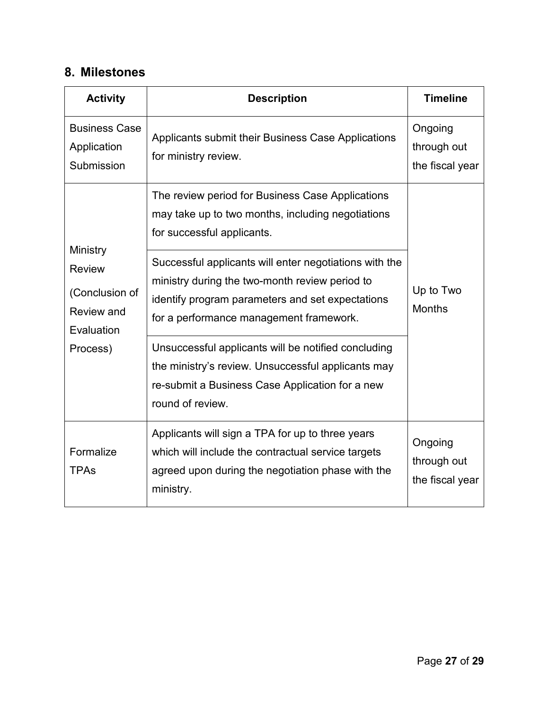# <span id="page-26-0"></span>**8. Milestones**

| <b>Activity</b>                                                         | <b>Description</b>                                                                                                                                                                                      | <b>Timeline</b>                           |
|-------------------------------------------------------------------------|---------------------------------------------------------------------------------------------------------------------------------------------------------------------------------------------------------|-------------------------------------------|
| <b>Business Case</b><br>Application<br>Submission                       | Applicants submit their Business Case Applications<br>for ministry review.                                                                                                                              | Ongoing<br>through out<br>the fiscal year |
|                                                                         | The review period for Business Case Applications<br>may take up to two months, including negotiations<br>for successful applicants.                                                                     |                                           |
| Ministry<br><b>Review</b><br>(Conclusion of<br>Review and<br>Evaluation | Successful applicants will enter negotiations with the<br>ministry during the two-month review period to<br>identify program parameters and set expectations<br>for a performance management framework. | Up to Two<br><b>Months</b>                |
| Process)                                                                | Unsuccessful applicants will be notified concluding<br>the ministry's review. Unsuccessful applicants may<br>re-submit a Business Case Application for a new<br>round of review.                        |                                           |
| Formalize<br><b>TPAs</b>                                                | Applicants will sign a TPA for up to three years<br>which will include the contractual service targets<br>agreed upon during the negotiation phase with the<br>ministry.                                | Ongoing<br>through out<br>the fiscal year |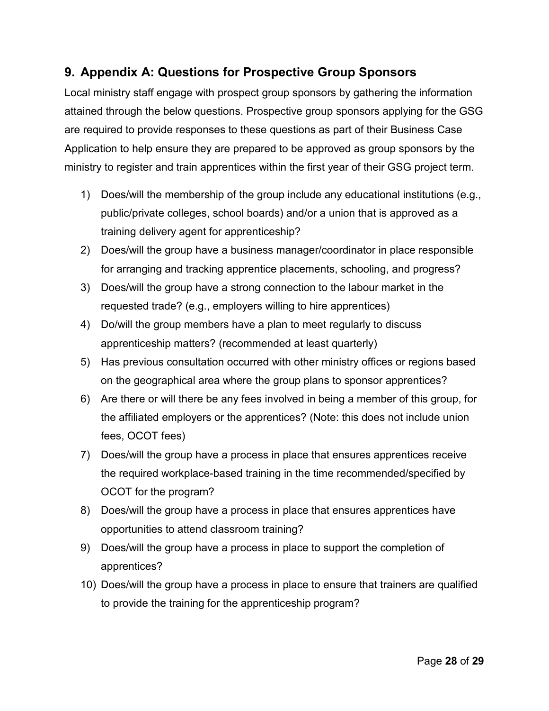# <span id="page-27-0"></span>**9. Appendix A: Questions for Prospective Group Sponsors**

Local ministry staff engage with prospect group sponsors by gathering the information attained through the below questions. Prospective group sponsors applying for the GSG are required to provide responses to these questions as part of their Business Case Application to help ensure they are prepared to be approved as group sponsors by the ministry to register and train apprentices within the first year of their GSG project term.

- 1) Does/will the membership of the group include any educational institutions (e.g., public/private colleges, school boards) and/or a union that is approved as a training delivery agent for apprenticeship?
- 2) Does/will the group have a business manager/coordinator in place responsible for arranging and tracking apprentice placements, schooling, and progress?
- 3) Does/will the group have a strong connection to the labour market in the requested trade? (e.g., employers willing to hire apprentices)
- 4) Do/will the group members have a plan to meet regularly to discuss apprenticeship matters? (recommended at least quarterly)
- 5) Has previous consultation occurred with other ministry offices or regions based on the geographical area where the group plans to sponsor apprentices?
- 6) Are there or will there be any fees involved in being a member of this group, for the affiliated employers or the apprentices? (Note: this does not include union fees, OCOT fees)
- 7) Does/will the group have a process in place that ensures apprentices receive the required workplace-based training in the time recommended/specified by OCOT for the program?
- 8) Does/will the group have a process in place that ensures apprentices have opportunities to attend classroom training?
- 9) Does/will the group have a process in place to support the completion of apprentices?
- 10) Does/will the group have a process in place to ensure that trainers are qualified to provide the training for the apprenticeship program?